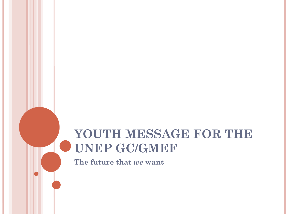#### **YOUTH MESSAGE FOR THE UNEP GC/GMEF**

**The future that** *we* **want**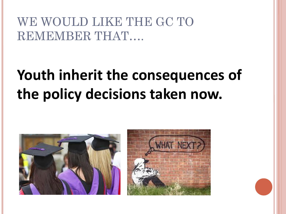#### WE WOULD LIKE THE GC TO REMEMBER THAT….

## **Youth inherit the consequences of the policy decisions taken now.**



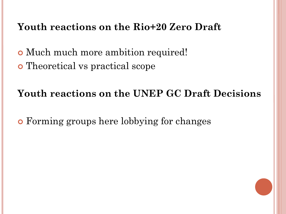#### **Youth reactions on the Rio+20 Zero Draft**

 Much much more ambition required! Theoretical vs practical scope

#### **Youth reactions on the UNEP GC Draft Decisions**

Forming groups here lobbying for changes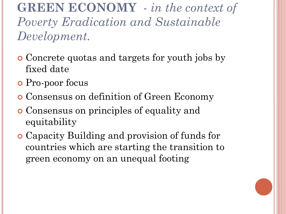**GREEN ECONOMY** - *in the context of Poverty Eradication and Sustainable Development.*

- Concrete quotas and targets for youth jobs by fixed date
- **o** Pro-poor focus
- Consensus on definition of Green Economy
- Consensus on principles of equality and equitability
- Capacity Building and provision of funds for countries which are starting the transition to green economy on an unequal footing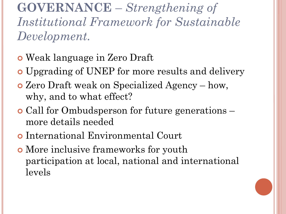**GOVERNANCE** – *Strengthening of Institutional Framework for Sustainable Development.*

- Weak language in Zero Draft
- Upgrading of UNEP for more results and delivery
- Zero Draft weak on Specialized Agency how, why, and to what effect?
- Call for Ombudsperson for future generations more details needed
- International Environmental Court
- More inclusive frameworks for youth participation at local, national and international levels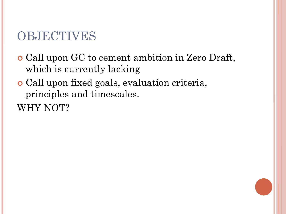#### OBJECTIVES

- Call upon GC to cement ambition in Zero Draft, which is currently lacking
- Call upon fixed goals, evaluation criteria, principles and timescales.

WHY NOT?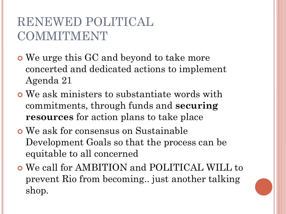#### RENEWED POLITICAL COMMITMENT

- We urge this GC and beyond to take more concerted and dedicated actions to implement Agenda 21
- We ask ministers to substantiate words with commitments, through funds and **securing resources** for action plans to take place
- We ask for consensus on Sustainable Development Goals so that the process can be equitable to all concerned
- We call for AMBITION and POLITICAL WILL to prevent Rio from becoming.. just another talking shop.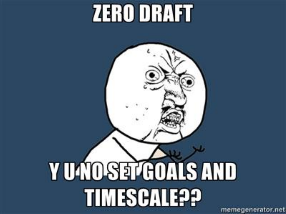# **ZERO DRAFT**

# YUATOSET GONIS AND **TIMESCALE 22**

memegenerator.net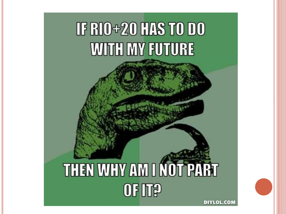

### THEN WHY AM I NOT PART OF IT? DIYLOL.COM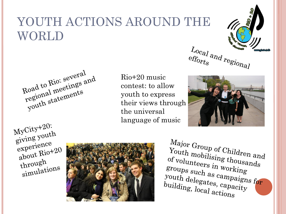#### YOUTH ACTIONS AROUND THE WORLD





Rio+20 music contest: to allow youth to express their views through the universal language of music



 $MyCity+20:$ MyCity<sup>-201</sup><br>giving youth  $\frac{\text{givins}}{\text{experiment}}$  $\frac{e\times p}{e\times q}$  Rio<sup>+20</sup> through throught<br>simulations



Major Group of Children and<br>Youth mobilising thousand  $Y_{\text{out}}$  mobilising thousands<br>of volunteers in working of volunteers in working stroups such as campaigns for<br>building and the delegates, capacity  $y_0$  such as campaign,<br>youth delegates, capacity<br>building, local action building, local actions